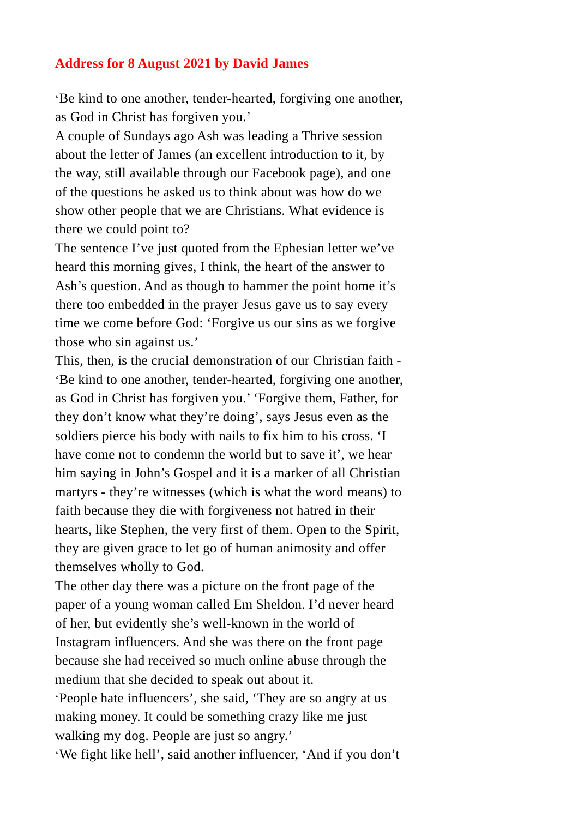## **Address for 8 August 2021 by David James**

'Be kind to one another, tender-hearted, forgiving one another, as God in Christ has forgiven you.'

A couple of Sundays ago Ash was leading a Thrive session about the letter of James (an excellent introduction to it, by the way, still available through our Facebook page), and one of the questions he asked us to think about was how do we show other people that we are Christians. What evidence is there we could point to?

The sentence I've just quoted from the Ephesian letter we've heard this morning gives, I think, the heart of the answer to Ash's question. And as though to hammer the point home it's there too embedded in the prayer Jesus gave us to say every time we come before God: 'Forgive us our sins as we forgive those who sin against us.'

This, then, is the crucial demonstration of our Christian faith - 'Be kind to one another, tender-hearted, forgiving one another, as God in Christ has forgiven you.' 'Forgive them, Father, for they don't know what they're doing', says Jesus even as the soldiers pierce his body with nails to fix him to his cross. 'I have come not to condemn the world but to save it', we hear him saying in John's Gospel and it is a marker of all Christian martyrs - they're witnesses (which is what the word means) to faith because they die with forgiveness not hatred in their hearts, like Stephen, the very first of them. Open to the Spirit, they are given grace to let go of human animosity and offer themselves wholly to God.

The other day there was a picture on the front page of the paper of a young woman called Em Sheldon. I'd never heard of her, but evidently she's well-known in the world of Instagram influencers. And she was there on the front page because she had received so much online abuse through the medium that she decided to speak out about it.

'People hate influencers', she said, 'They are so angry at us making money. It could be something crazy like me just walking my dog. People are just so angry.'

'We fight like hell', said another influencer, 'And if you don't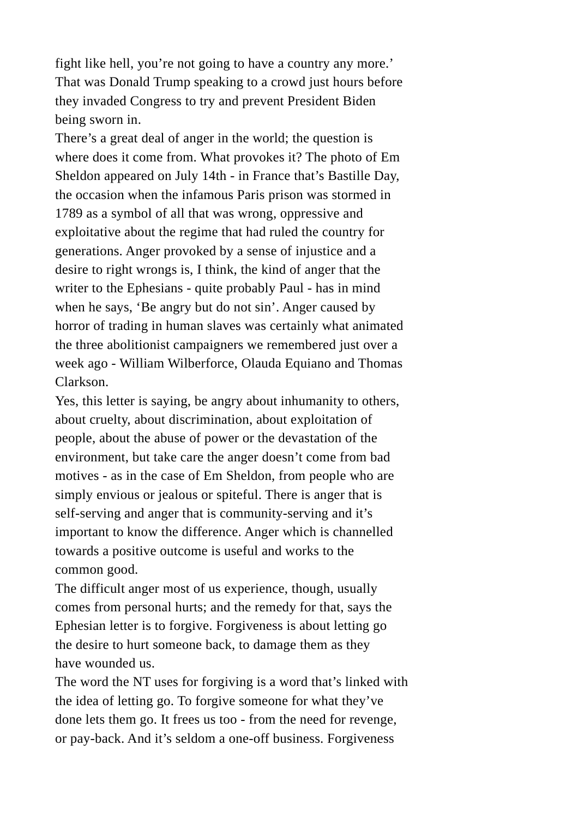fight like hell, you're not going to have a country any more.' That was Donald Trump speaking to a crowd just hours before they invaded Congress to try and prevent President Biden being sworn in.

There's a great deal of anger in the world; the question is where does it come from. What provokes it? The photo of Em Sheldon appeared on July 14th - in France that's Bastille Day, the occasion when the infamous Paris prison was stormed in 1789 as a symbol of all that was wrong, oppressive and exploitative about the regime that had ruled the country for generations. Anger provoked by a sense of injustice and a desire to right wrongs is, I think, the kind of anger that the writer to the Ephesians - quite probably Paul - has in mind when he says, 'Be angry but do not sin'. Anger caused by horror of trading in human slaves was certainly what animated the three abolitionist campaigners we remembered just over a week ago - William Wilberforce, Olauda Equiano and Thomas Clarkson.

Yes, this letter is saying, be angry about inhumanity to others, about cruelty, about discrimination, about exploitation of people, about the abuse of power or the devastation of the environment, but take care the anger doesn't come from bad motives - as in the case of Em Sheldon, from people who are simply envious or jealous or spiteful. There is anger that is self-serving and anger that is community-serving and it's important to know the difference. Anger which is channelled towards a positive outcome is useful and works to the common good.

The difficult anger most of us experience, though, usually comes from personal hurts; and the remedy for that, says the Ephesian letter is to forgive. Forgiveness is about letting go the desire to hurt someone back, to damage them as they have wounded us.

The word the NT uses for forgiving is a word that's linked with the idea of letting go. To forgive someone for what they've done lets them go. It frees us too - from the need for revenge, or pay-back. And it's seldom a one-off business. Forgiveness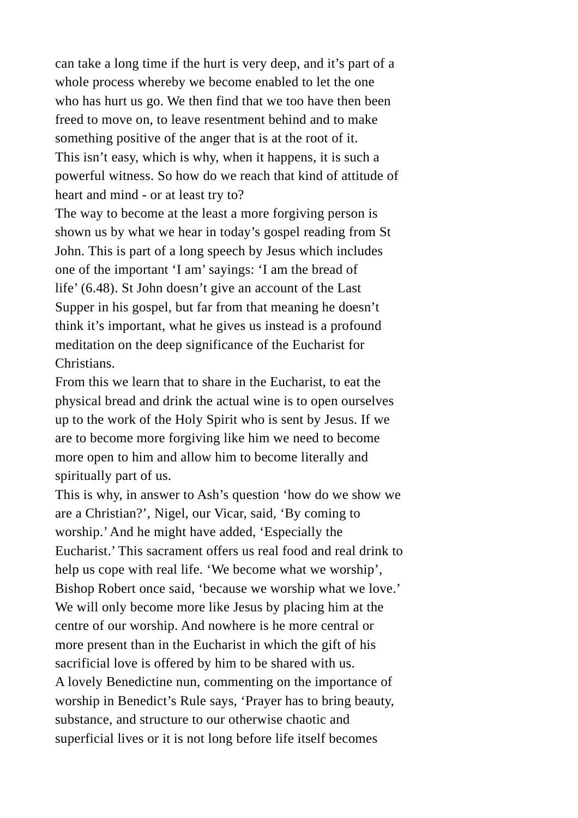can take a long time if the hurt is very deep, and it's part of a whole process whereby we become enabled to let the one who has hurt us go. We then find that we too have then been freed to move on, to leave resentment behind and to make something positive of the anger that is at the root of it. This isn't easy, which is why, when it happens, it is such a powerful witness. So how do we reach that kind of attitude of heart and mind - or at least try to?

The way to become at the least a more forgiving person is shown us by what we hear in today's gospel reading from St John. This is part of a long speech by Jesus which includes one of the important 'I am' sayings: 'I am the bread of life' (6.48). St John doesn't give an account of the Last Supper in his gospel, but far from that meaning he doesn't think it's important, what he gives us instead is a profound meditation on the deep significance of the Eucharist for Christians.

From this we learn that to share in the Eucharist, to eat the physical bread and drink the actual wine is to open ourselves up to the work of the Holy Spirit who is sent by Jesus. If we are to become more forgiving like him we need to become more open to him and allow him to become literally and spiritually part of us.

This is why, in answer to Ash's question 'how do we show we are a Christian?', Nigel, our Vicar, said, 'By coming to worship.' And he might have added, 'Especially the Eucharist.' This sacrament offers us real food and real drink to help us cope with real life. 'We become what we worship', Bishop Robert once said, 'because we worship what we love.' We will only become more like Jesus by placing him at the centre of our worship. And nowhere is he more central or more present than in the Eucharist in which the gift of his sacrificial love is offered by him to be shared with us. A lovely Benedictine nun, commenting on the importance of worship in Benedict's Rule says, 'Prayer has to bring beauty, substance, and structure to our otherwise chaotic and superficial lives or it is not long before life itself becomes